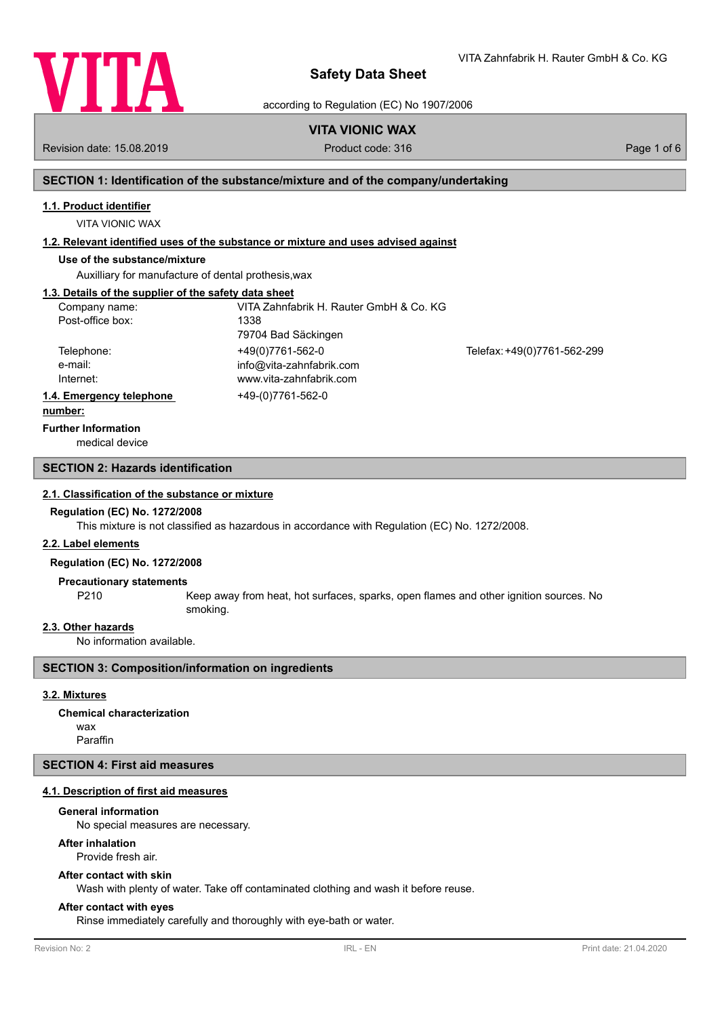

VITA Zahnfabrik H. Rauter GmbH & Co. KG

according to Regulation (EC) No 1907/2006

# **VITA VIONIC WAX**

Revision date: 15.08.2019 **Product code: 316** Product code: 316 **Page 1 of 6** Page 1 of 6

# **SECTION 1: Identification of the substance/mixture and of the company/undertaking**

# **1.1. Product identifier**

VITA VIONIC WAX

# **1.2. Relevant identified uses of the substance or mixture and uses advised against**

# **Use of the substance/mixture**

Auxilliary for manufacture of dental prothesis,wax

# **1.3. Details of the supplier of the safety data sheet**

| Company name:<br>Post-office box:             | VITA Zahnfabrik H. Rauter GmbH & Co. KG<br>1338<br>79704 Bad Säckingen  |                             |
|-----------------------------------------------|-------------------------------------------------------------------------|-----------------------------|
| Telephone:<br>e-mail:<br>Internet:            | +49(0)7761-562-0<br>info@vita-zahnfabrik.com<br>www.vita-zahnfabrik.com | Telefax: +49(0)7761-562-299 |
| 1.4. Emergency telephone<br>المتمام والممتنعة | +49-(0)7761-562-0                                                       |                             |

#### **number:**

# **Further Information**

medical device

# **SECTION 2: Hazards identification**

# **2.1. Classification of the substance or mixture**

### **Regulation (EC) No. 1272/2008**

This mixture is not classified as hazardous in accordance with Regulation (EC) No. 1272/2008.

### **2.2. Label elements**

# **Regulation (EC) No. 1272/2008**

### **Precautionary statements**

P210 Keep away from heat, hot surfaces, sparks, open flames and other ignition sources. No smoking.

# **2.3. Other hazards**

No information available.

# **SECTION 3: Composition/information on ingredients**

# **3.2. Mixtures**

wax Paraffin **Chemical characterization**

# **SECTION 4: First aid measures**

# **4.1. Description of first aid measures**

# **General information**

No special measures are necessary.

# **After inhalation**

Provide fresh air.

# **After contact with skin**

Wash with plenty of water. Take off contaminated clothing and wash it before reuse.

# **After contact with eyes**

Rinse immediately carefully and thoroughly with eye-bath or water.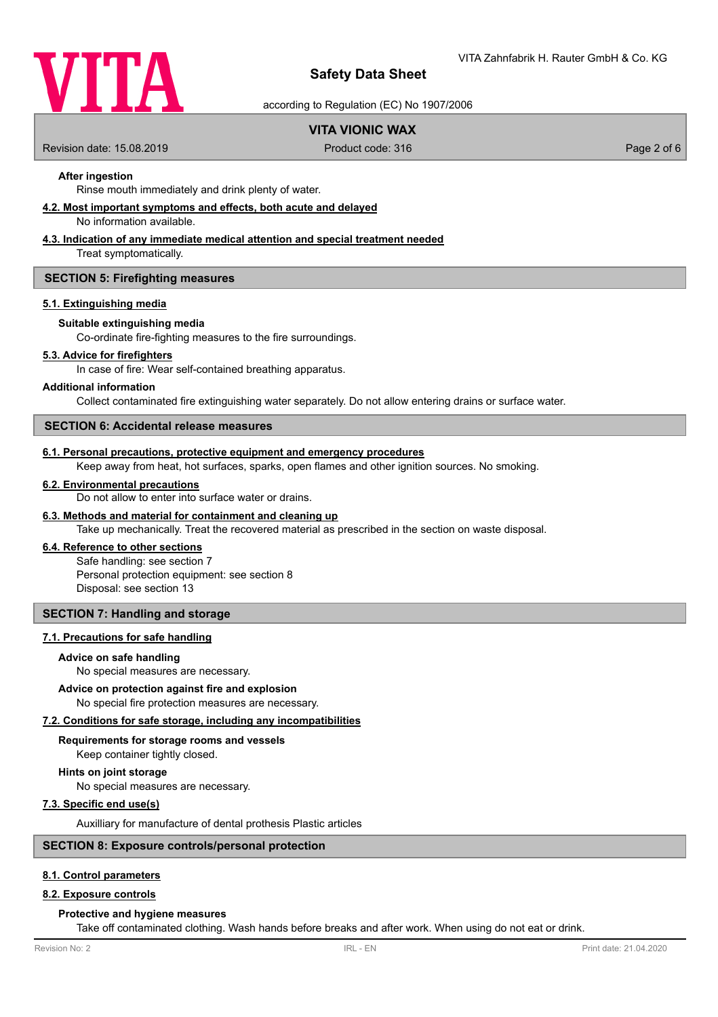

according to Regulation (EC) No 1907/2006

# **VITA VIONIC WAX**

Revision date: 15.08.2019 **Product code: 316** Product code: 316 **Page 2 of 6** Page 2 of 6

# **After ingestion**

Rinse mouth immediately and drink plenty of water.

# **4.2. Most important symptoms and effects, both acute and delayed**

No information available.

# **4.3. Indication of any immediate medical attention and special treatment needed**

Treat symptomatically.

## **SECTION 5: Firefighting measures**

### **5.1. Extinguishing media**

# **Suitable extinguishing media**

Co-ordinate fire-fighting measures to the fire surroundings.

### **5.3. Advice for firefighters**

In case of fire: Wear self-contained breathing apparatus.

### **Additional information**

Collect contaminated fire extinguishing water separately. Do not allow entering drains or surface water.

### **SECTION 6: Accidental release measures**

# **6.1. Personal precautions, protective equipment and emergency procedures**

Keep away from heat, hot surfaces, sparks, open flames and other ignition sources. No smoking.

### **6.2. Environmental precautions**

Do not allow to enter into surface water or drains.

### **6.3. Methods and material for containment and cleaning up**

Take up mechanically. Treat the recovered material as prescribed in the section on waste disposal.

# **6.4. Reference to other sections**

Safe handling: see section 7 Personal protection equipment: see section 8 Disposal: see section 13

# **SECTION 7: Handling and storage**

#### **7.1. Precautions for safe handling**

#### **Advice on safe handling**

No special measures are necessary.

### **Advice on protection against fire and explosion**

No special fire protection measures are necessary.

# **7.2. Conditions for safe storage, including any incompatibilities**

# **Requirements for storage rooms and vessels**

Keep container tightly closed.

# **Hints on joint storage**

No special measures are necessary.

# **7.3. Specific end use(s)**

Auxilliary for manufacture of dental prothesis Plastic articles

# **SECTION 8: Exposure controls/personal protection**

# **8.1. Control parameters**

# **8.2. Exposure controls**

# **Protective and hygiene measures**

Take off contaminated clothing. Wash hands before breaks and after work. When using do not eat or drink.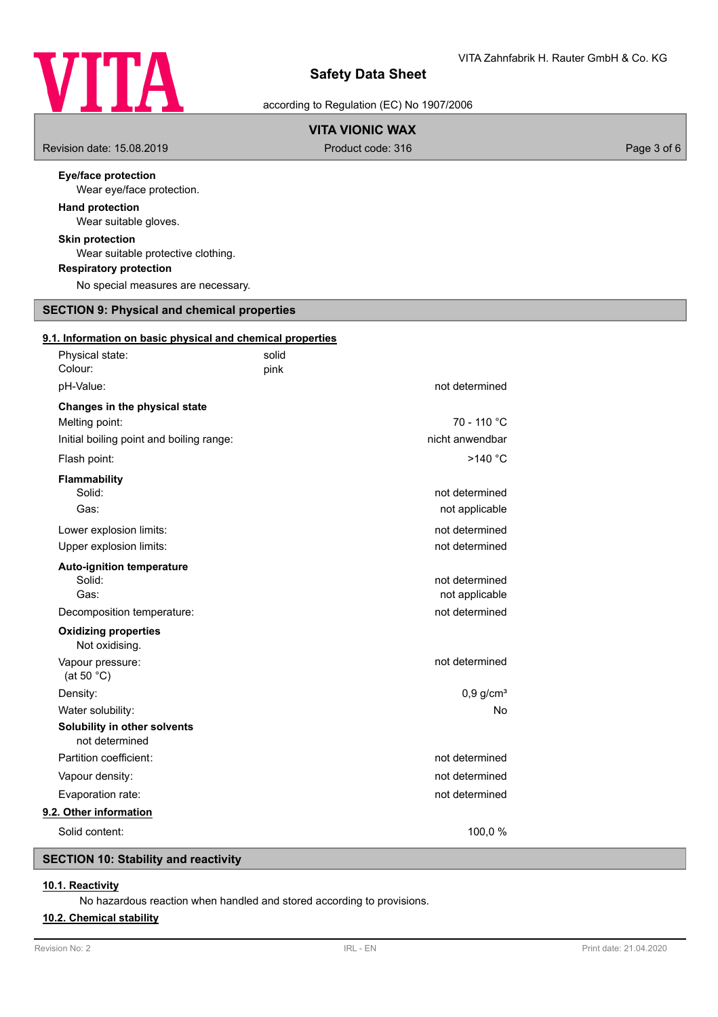

according to Regulation (EC) No 1907/2006

# **VITA VIONIC WAX**

Revision date: 15.08.2019 **Product code: 316** Product code: 316 **Page 3 of 6** Page 3 of 6

# **Eye/face protection**

Wear eye/face protection.

# **Hand protection**

Wear suitable gloves.

# **Skin protection**

Wear suitable protective clothing.

# **Respiratory protection**

No special measures are necessary.

# **SECTION 9: Physical and chemical properties**

|  |  |  |  |  |  | 9.1. Information on basic physical and chemical properties |  |
|--|--|--|--|--|--|------------------------------------------------------------|--|
|  |  |  |  |  |  |                                                            |  |

| Physical state:<br>Colour:                     | solid<br>pink |                         |
|------------------------------------------------|---------------|-------------------------|
| pH-Value:                                      |               | not determined          |
| Changes in the physical state                  |               |                         |
| Melting point:                                 |               | $70 - 110 °C$           |
| Initial boiling point and boiling range:       |               | nicht anwendbar         |
| Flash point:                                   |               | >140 °C                 |
| <b>Flammability</b>                            |               |                         |
| Solid:                                         |               | not determined          |
| Gas:                                           |               | not applicable          |
| Lower explosion limits:                        |               | not determined          |
| Upper explosion limits:                        |               | not determined          |
| <b>Auto-ignition temperature</b>               |               |                         |
| Solid:                                         |               | not determined          |
| Gas:                                           |               | not applicable          |
| Decomposition temperature:                     |               | not determined          |
| <b>Oxidizing properties</b><br>Not oxidising.  |               |                         |
| Vapour pressure:<br>(at 50 $°C$ )              |               | not determined          |
| Density:                                       |               | $0,9$ g/cm <sup>3</sup> |
| Water solubility:                              |               | No                      |
| Solubility in other solvents<br>not determined |               |                         |
| Partition coefficient:                         |               | not determined          |
| Vapour density:                                |               | not determined          |
| Evaporation rate:                              |               | not determined          |
| 9.2. Other information                         |               |                         |
| Solid content:                                 |               | 100,0%                  |
|                                                |               |                         |

# **SECTION 10: Stability and reactivity**

# **10.1. Reactivity**

No hazardous reaction when handled and stored according to provisions.

# **10.2. Chemical stability**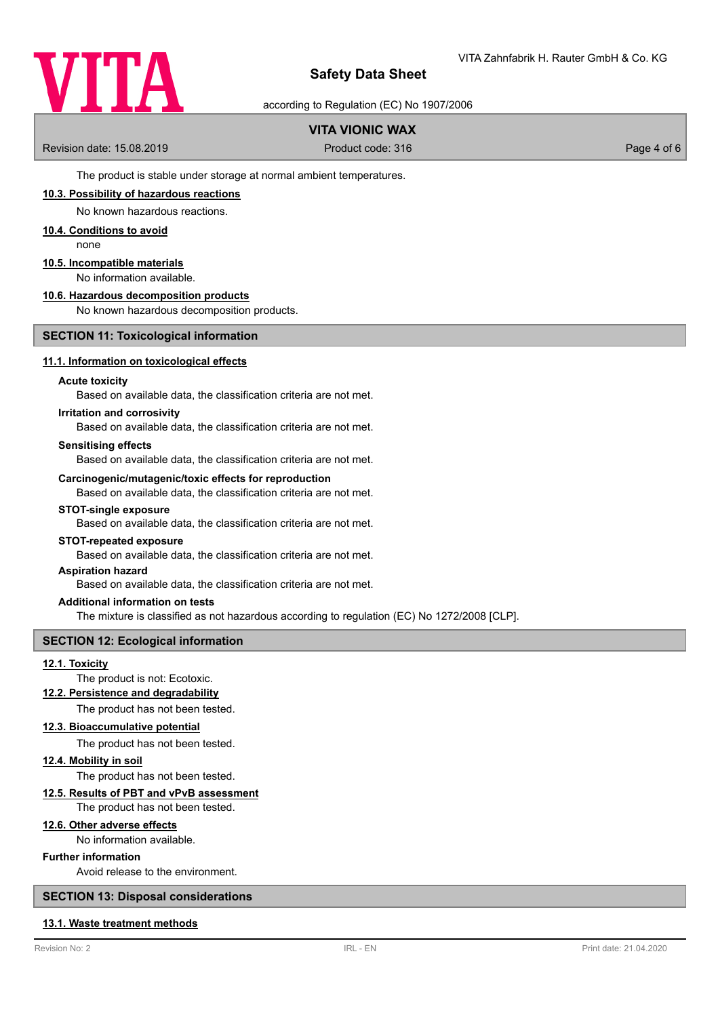

according to Regulation (EC) No 1907/2006

# **VITA VIONIC WAX**

Revision date: 15.08.2019 **Product code: 316** Product code: 316 **Page 4 of 6** Page 4 of 6

The product is stable under storage at normal ambient temperatures.

# **10.3. Possibility of hazardous reactions**

No known hazardous reactions.

# **10.4. Conditions to avoid**

none

# **10.5. Incompatible materials**

No information available.

# **10.6. Hazardous decomposition products**

No known hazardous decomposition products.

# **SECTION 11: Toxicological information**

### **11.1. Information on toxicological effects**

### **Acute toxicity**

Based on available data, the classification criteria are not met.

### **Irritation and corrosivity**

Based on available data, the classification criteria are not met.

### **Sensitising effects**

Based on available data, the classification criteria are not met.

### **Carcinogenic/mutagenic/toxic effects for reproduction**

Based on available data, the classification criteria are not met.

### **STOT-single exposure**

Based on available data, the classification criteria are not met.

#### **STOT-repeated exposure**

Based on available data, the classification criteria are not met.

### **Aspiration hazard**

Based on available data, the classification criteria are not met.

# **Additional information on tests**

The mixture is classified as not hazardous according to regulation (EC) No 1272/2008 [CLP].

# **SECTION 12: Ecological information**

### **12.1. Toxicity**

# The product is not: Ecotoxic.

**12.2. Persistence and degradability**

The product has not been tested.

### **12.3. Bioaccumulative potential**

The product has not been tested.

# **12.4. Mobility in soil**

The product has not been tested.

# **12.5. Results of PBT and vPvB assessment**

The product has not been tested.

# **12.6. Other adverse effects**

No information available.

### **Further information**

Avoid release to the environment.

# **SECTION 13: Disposal considerations**

# **13.1. Waste treatment methods**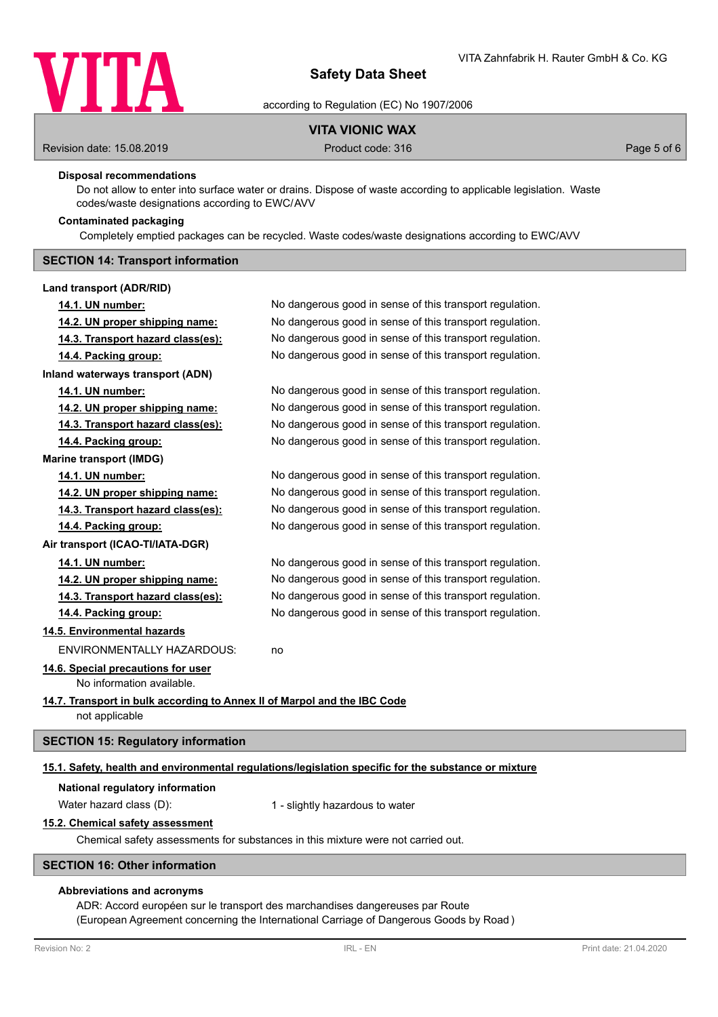

according to Regulation (EC) No 1907/2006

# **VITA VIONIC WAX**

Revision date: 15.08.2019 **Product code: 316** Product code: 316 **Page 5 of 6** Page 5 of 6

### **Disposal recommendations**

Do not allow to enter into surface water or drains. Dispose of waste according to applicable legislation. Waste codes/waste designations according to EWC/AVV

# **Contaminated packaging**

Completely emptied packages can be recycled. Waste codes/waste designations according to EWC/AVV

# **SECTION 14: Transport information**

### **Land transport (ADR/RID)**

| 14.1. UN number:                                                         | No dangerous good in sense of this transport regulation.                                             |  |  |  |
|--------------------------------------------------------------------------|------------------------------------------------------------------------------------------------------|--|--|--|
| 14.2. UN proper shipping name:                                           | No dangerous good in sense of this transport regulation.                                             |  |  |  |
| 14.3. Transport hazard class(es):                                        | No dangerous good in sense of this transport regulation.                                             |  |  |  |
| 14.4. Packing group:                                                     | No dangerous good in sense of this transport regulation.                                             |  |  |  |
| Inland waterways transport (ADN)                                         |                                                                                                      |  |  |  |
| 14.1. UN number:                                                         | No dangerous good in sense of this transport regulation.                                             |  |  |  |
| 14.2. UN proper shipping name:                                           | No dangerous good in sense of this transport regulation.                                             |  |  |  |
| 14.3. Transport hazard class(es):                                        | No dangerous good in sense of this transport regulation.                                             |  |  |  |
| 14.4. Packing group:                                                     | No dangerous good in sense of this transport regulation.                                             |  |  |  |
| <b>Marine transport (IMDG)</b>                                           |                                                                                                      |  |  |  |
| 14.1. UN number:                                                         | No dangerous good in sense of this transport regulation.                                             |  |  |  |
| 14.2. UN proper shipping name:                                           | No dangerous good in sense of this transport regulation.                                             |  |  |  |
| 14.3. Transport hazard class(es):                                        | No dangerous good in sense of this transport regulation.                                             |  |  |  |
| 14.4. Packing group:                                                     | No dangerous good in sense of this transport regulation.                                             |  |  |  |
| Air transport (ICAO-TI/IATA-DGR)                                         |                                                                                                      |  |  |  |
| 14.1. UN number:                                                         | No dangerous good in sense of this transport regulation.                                             |  |  |  |
| 14.2. UN proper shipping name:                                           | No dangerous good in sense of this transport regulation.                                             |  |  |  |
| 14.3. Transport hazard class(es):                                        | No dangerous good in sense of this transport regulation.                                             |  |  |  |
| 14.4. Packing group:                                                     | No dangerous good in sense of this transport regulation.                                             |  |  |  |
| 14.5. Environmental hazards                                              |                                                                                                      |  |  |  |
| <b>ENVIRONMENTALLY HAZARDOUS:</b>                                        | no                                                                                                   |  |  |  |
| 14.6. Special precautions for user                                       |                                                                                                      |  |  |  |
| No information available.                                                |                                                                                                      |  |  |  |
| 14.7. Transport in bulk according to Annex II of Marpol and the IBC Code |                                                                                                      |  |  |  |
| not applicable                                                           |                                                                                                      |  |  |  |
| <b>SECTION 15: Regulatory information</b>                                |                                                                                                      |  |  |  |
|                                                                          | 15.1. Safety, health and environmental regulations/legislation specific for the substance or mixture |  |  |  |

# **National regulatory information**

Water hazard class (D): 1 - slightly hazardous to water

# **15.2. Chemical safety assessment**

Chemical safety assessments for substances in this mixture were not carried out.

### **SECTION 16: Other information**

# **Abbreviations and acronyms**

ADR: Accord européen sur le transport des marchandises dangereuses par Route (European Agreement concerning the International Carriage of Dangerous Goods by Road )